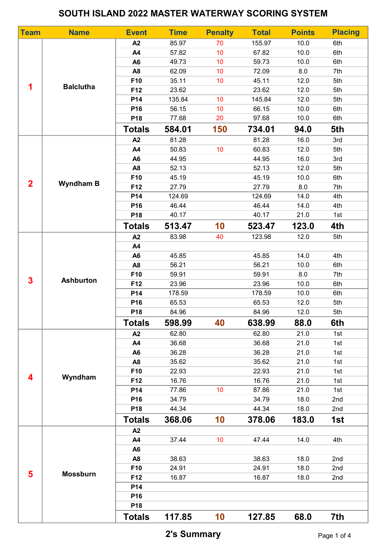## SOUTH ISLAND 2022 MASTER WATERWAY SCORING SYSTEM

| <b>Team</b>             | <b>Name</b>      | <b>Event</b>    | <b>Time</b> | <b>Penalty</b>  | <b>Total</b> | <b>Points</b> | <b>Placing</b> |
|-------------------------|------------------|-----------------|-------------|-----------------|--------------|---------------|----------------|
| 1                       |                  | A2              | 85.97       | 70              | 155.97       | 10.0          | 6th            |
|                         |                  | A4              | 57.82       | 10              | 67.82        | 10.0          | 6th            |
|                         |                  | A <sub>6</sub>  | 49.73       | 10 <sup>°</sup> | 59.73        | 10.0          | 6th            |
|                         | <b>Balclutha</b> | A <sub>8</sub>  | 62.09       | 10              | 72.09        | 8.0           | 7th            |
|                         |                  | F10             | 35.11       | 10 <sup>°</sup> | 45.11        | 12.0          | 5th            |
|                         |                  | F12             | 23.62       |                 | 23.62        | 12.0          | 5th            |
|                         |                  | P14             | 135.84      | 10 <sup>°</sup> | 145.84       | 12.0          | 5th            |
|                         |                  | P16             | 56.15       | 10              | 66.15        | 10.0          | 6th            |
|                         |                  | P18             | 77.68       | 20              | 97.68        | 10.0          | 6th            |
|                         |                  | <b>Totals</b>   | 584.01      | 150             | 734.01       | 94.0          | 5th            |
|                         | <b>Wyndham B</b> | A2              | 81.28       |                 | 81.28        | 16.0          | 3rd            |
|                         |                  | <b>A4</b>       | 50.83       | 10              | 60.83        | 12.0          | 5th            |
|                         |                  | A <sub>6</sub>  | 44.95       |                 | 44.95        | 16.0          | 3rd            |
|                         |                  | A <sub>8</sub>  | 52.13       |                 | 52.13        | 12.0          | 5th            |
|                         |                  | F10             | 45.19       |                 | 45.19        | 10.0          | 6th            |
| $\overline{2}$          |                  | F12             | 27.79       |                 | 27.79        | 8.0           | 7th            |
|                         |                  | P14             | 124.69      |                 | 124.69       | 14.0          | 4th            |
|                         |                  | P16             | 46.44       |                 | 46.44        | 14.0          | 4th            |
|                         |                  | P18             | 40.17       |                 | 40.17        | 21.0          | 1st            |
|                         |                  | <b>Totals</b>   | 513.47      | 10              | 523.47       | 123.0         | 4th            |
|                         | <b>Ashburton</b> | A2              | 83.98       | 40              | 123.98       | 12.0          | 5th            |
|                         |                  | <b>A4</b>       |             |                 |              |               |                |
|                         |                  | A <sub>6</sub>  | 45.85       |                 | 45.85        | 14.0          | 4th            |
|                         |                  | A <sub>8</sub>  | 56.21       |                 | 56.21        | 10.0          | 6th            |
| $\overline{\mathbf{3}}$ |                  | F10             | 59.91       |                 | 59.91        | 8.0           | 7th            |
|                         |                  | F12             | 23.96       |                 | 23.96        | 10.0          | 6th            |
|                         |                  | P14             | 178.59      |                 | 178.59       | 10.0          | 6th            |
|                         |                  | P16             | 65.53       |                 | 65.53        | 12.0          | 5th            |
|                         |                  | P18             | 84.96       |                 | 84.96        | 12.0          | 5th            |
|                         |                  | <b>Totals</b>   | 598.99      | 40              | 638.99       | 88.0          | 6th            |
|                         | Wyndham          | A2              | 62.80       |                 | 62.80        | 21.0          | 1st            |
|                         |                  | A4              | 36.68       |                 | 36.68        | 21.0          | 1st            |
|                         |                  | A <sub>6</sub>  | 36.28       |                 | 36.28        | 21.0          | 1st            |
|                         |                  | A <sub>8</sub>  | 35.62       |                 | 35.62        | 21.0          | 1st            |
| 4                       |                  | F10             | 22.93       |                 | 22.93        | 21.0          | 1st            |
|                         |                  | F12             | 16.76       |                 | 16.76        | 21.0          | 1st            |
|                         |                  | P14             | 77.86       | 10              | 87.86        | 21.0          | 1st            |
|                         |                  | P16             | 34.79       |                 | 34.79        | 18.0          | 2nd            |
|                         |                  | P <sub>18</sub> | 44.34       |                 | 44.34        | 18.0          | 2nd            |
|                         |                  | <b>Totals</b>   | 368.06      | 10              | 378.06       | 183.0         | 1st            |
| 5                       | <b>Mossburn</b>  | A2              |             |                 |              |               |                |
|                         |                  | A4              | 37.44       | 10 <sup>1</sup> | 47.44        | 14.0          | 4th            |
|                         |                  | A <sub>6</sub>  |             |                 |              |               |                |
|                         |                  | A <sub>8</sub>  | 38.63       |                 | 38.63        | 18.0          | 2nd            |
|                         |                  | F10             | 24.91       |                 | 24.91        | 18.0          | 2nd            |
|                         |                  | F12             | 16.87       |                 | 16.87        | 18.0          | 2nd            |
|                         |                  | P14             |             |                 |              |               |                |
|                         |                  | P16             |             |                 |              |               |                |
|                         |                  | P18             |             |                 |              |               |                |
|                         |                  | <b>Totals</b>   | 117.85      | 10              | 127.85       | 68.0          | 7th            |